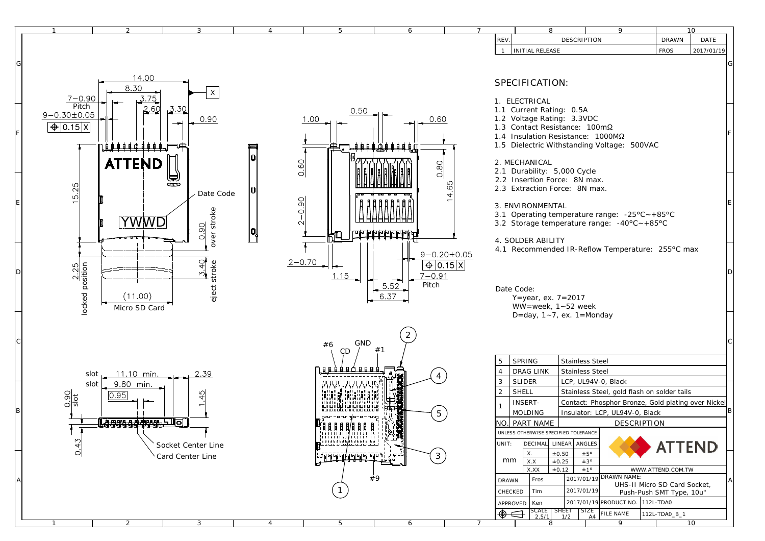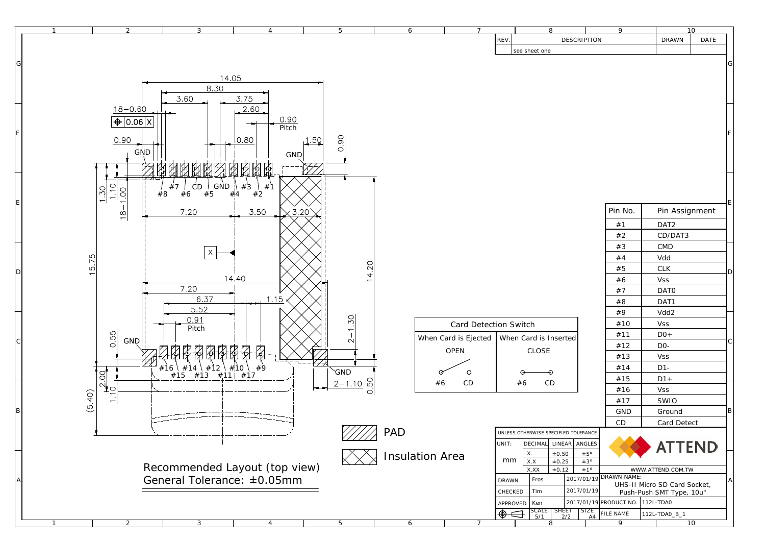